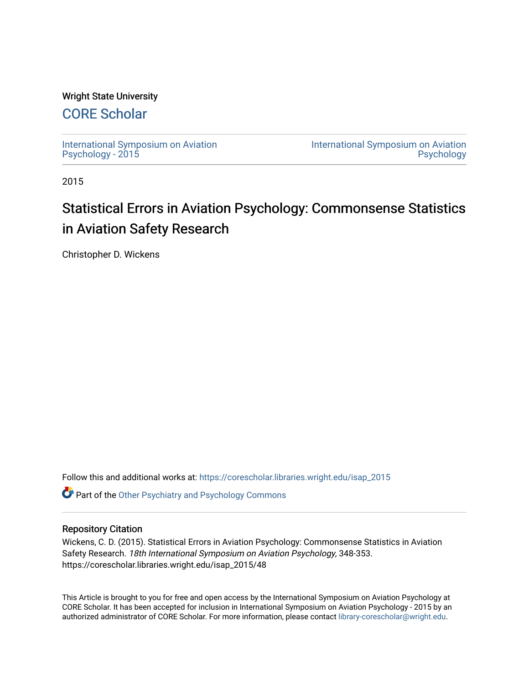## Wright State University

## [CORE Scholar](https://corescholar.libraries.wright.edu/)

[International Symposium on Aviation](https://corescholar.libraries.wright.edu/isap_2015) [Psychology - 2015](https://corescholar.libraries.wright.edu/isap_2015)

[International Symposium on Aviation](https://corescholar.libraries.wright.edu/isap)  [Psychology](https://corescholar.libraries.wright.edu/isap) 

2015

# Statistical Errors in Aviation Psychology: Commonsense Statistics in Aviation Safety Research

Christopher D. Wickens

Follow this and additional works at: [https://corescholar.libraries.wright.edu/isap\\_2015](https://corescholar.libraries.wright.edu/isap_2015?utm_source=corescholar.libraries.wright.edu%2Fisap_2015%2F48&utm_medium=PDF&utm_campaign=PDFCoverPages)

**Part of the [Other Psychiatry and Psychology Commons](http://network.bepress.com/hgg/discipline/992?utm_source=corescholar.libraries.wright.edu%2Fisap_2015%2F48&utm_medium=PDF&utm_campaign=PDFCoverPages)** 

### Repository Citation

Wickens, C. D. (2015). Statistical Errors in Aviation Psychology: Commonsense Statistics in Aviation Safety Research. 18th International Symposium on Aviation Psychology, 348-353. https://corescholar.libraries.wright.edu/isap\_2015/48

This Article is brought to you for free and open access by the International Symposium on Aviation Psychology at CORE Scholar. It has been accepted for inclusion in International Symposium on Aviation Psychology - 2015 by an authorized administrator of CORE Scholar. For more information, please contact [library-corescholar@wright.edu](mailto:library-corescholar@wright.edu).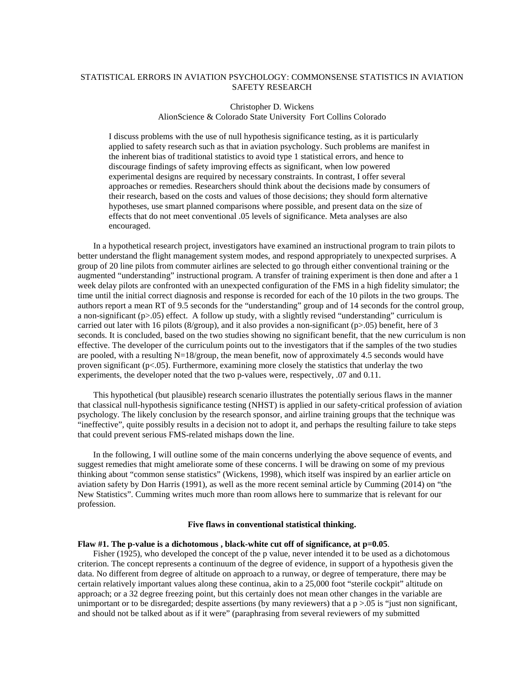#### STATISTICAL ERRORS IN AVIATION PSYCHOLOGY: COMMONSENSE STATISTICS IN AVIATION SAFETY RESEARCH

## Christopher D. Wickens

AlionScience & Colorado State University Fort Collins Colorado

I discuss problems with the use of null hypothesis significance testing, as it is particularly applied to safety research such as that in aviation psychology. Such problems are manifest in the inherent bias of traditional statistics to avoid type 1 statistical errors, and hence to discourage findings of safety improving effects as significant, when low powered experimental designs are required by necessary constraints. In contrast, I offer several approaches or remedies. Researchers should think about the decisions made by consumers of their research, based on the costs and values of those decisions; they should form alternative hypotheses, use smart planned comparisons where possible, and present data on the size of effects that do not meet conventional .05 levels of significance. Meta analyses are also encouraged.

In a hypothetical research project, investigators have examined an instructional program to train pilots to better understand the flight management system modes, and respond appropriately to unexpected surprises. A group of 20 line pilots from commuter airlines are selected to go through either conventional training or the augmented "understanding" instructional program. A transfer of training experiment is then done and after a 1 week delay pilots are confronted with an unexpected configuration of the FMS in a high fidelity simulator; the time until the initial correct diagnosis and response is recorded for each of the 10 pilots in the two groups. The authors report a mean RT of 9.5 seconds for the "understanding" group and of 14 seconds for the control group, a non-significant (p>.05) effect. A follow up study, with a slightly revised "understanding" curriculum is carried out later with 16 pilots (8/group), and it also provides a non-significant ( $p>0.05$ ) benefit, here of 3 seconds. It is concluded, based on the two studies showing no significant benefit, that the new curriculum is non effective. The developer of the curriculum points out to the investigators that if the samples of the two studies are pooled, with a resulting  $N=18/$ group, the mean benefit, now of approximately 4.5 seconds would have proven significant (p<.05). Furthermore, examining more closely the statistics that underlay the two experiments, the developer noted that the two p-values were, respectively, .07 and 0.11.

This hypothetical (but plausible) research scenario illustrates the potentially serious flaws in the manner that classical null-hypothesis significance testing (NHST) is applied in our safety-critical profession of aviation psychology. The likely conclusion by the research sponsor, and airline training groups that the technique was "ineffective", quite possibly results in a decision not to adopt it, and perhaps the resulting failure to take steps that could prevent serious FMS-related mishaps down the line.

In the following, I will outline some of the main concerns underlying the above sequence of events, and suggest remedies that might ameliorate some of these concerns. I will be drawing on some of my previous thinking about "common sense statistics" (Wickens, 1998), which itself was inspired by an earlier article on aviation safety by Don Harris (1991), as well as the more recent seminal article by Cumming (2014) on "the New Statistics". Cumming writes much more than room allows here to summarize that is relevant for our profession.

#### **Five flaws in conventional statistical thinking.**

#### Flaw #1. The p-value is a dichotomous, black-white cut off of significance, at  $p=0.05$ .

Fisher (1925), who developed the concept of the p value, never intended it to be used as a dichotomous criterion. The concept represents a continuum of the degree of evidence, in support of a hypothesis given the data. No different from degree of altitude on approach to a runway, or degree of temperature, there may be certain relatively important values along these continua, akin to a 25,000 foot "sterile cockpit" altitude on approach; or a 32 degree freezing point, but this certainly does not mean other changes in the variable are unimportant or to be disregarded; despite assertions (by many reviewers) that a  $p > 0.05$  is "just non significant, and should not be talked about as if it were" (paraphrasing from several reviewers of my submitted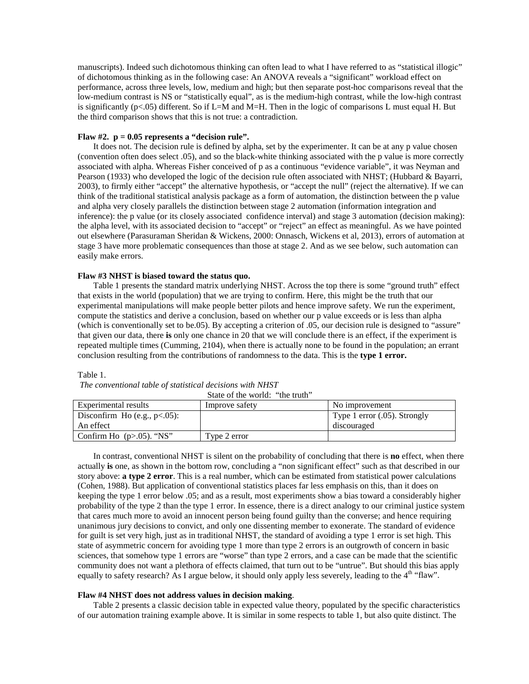manuscripts). Indeed such dichotomous thinking can often lead to what I have referred to as "statistical illogic" of dichotomous thinking as in the following case: An ANOVA reveals a "significant" workload effect on performance, across three levels, low, medium and high; but then separate post-hoc comparisons reveal that the low-medium contrast is NS or "statistically equal", as is the medium-high contrast, while the low-high contrast is significantly ( $p\leq 0.05$ ) different. So if L=M and M=H. Then in the logic of comparisons L must equal H. But the third comparison shows that this is not true: a contradiction.

#### **Flaw #2. p = 0.05 represents a "decision rule".**

It does not. The decision rule is defined by alpha, set by the experimenter. It can be at any p value chosen (convention often does select .05), and so the black-white thinking associated with the p value is more correctly associated with alpha. Whereas Fisher conceived of p as a continuous "evidence variable", it was Neyman and Pearson (1933) who developed the logic of the decision rule often associated with NHST; (Hubbard & Bayarri, 2003), to firmly either "accept" the alternative hypothesis, or "accept the null" (reject the alternative). If we can think of the traditional statistical analysis package as a form of automation, the distinction between the p value and alpha very closely parallels the distinction between stage 2 automation (information integration and inference): the p value (or its closely associated confidence interval) and stage 3 automation (decision making): the alpha level, with its associated decision to "accept" or "reject" an effect as meaningful. As we have pointed out elsewhere (Parasuraman Sheridan & Wickens, 2000: Onnasch, Wickens et al, 2013), errors of automation at stage 3 have more problematic consequences than those at stage 2. And as we see below, such automation can easily make errors.

#### **Flaw #3 NHST is biased toward the status quo.**

Table 1 presents the standard matrix underlying NHST. Across the top there is some "ground truth" effect that exists in the world (population) that we are trying to confirm. Here, this might be the truth that our experimental manipulations will make people better pilots and hence improve safety. We run the experiment, compute the statistics and derive a conclusion, based on whether our p value exceeds or is less than alpha (which is conventionally set to be.05). By accepting a criterion of .05, our decision rule is designed to "assure" that given our data, there **is** only one chance in 20 that we will conclude there is an effect, if the experiment is repeated multiple times (Cumming, 2104), when there is actually none to be found in the population; an errant conclusion resulting from the contributions of randomness to the data. This is the **type 1 error.**

#### Table 1.

*The conventional table of statistical decisions with NHST*

|                                  | State of the world: "the truth" |                              |
|----------------------------------|---------------------------------|------------------------------|
| Experimental results             | Improve safety                  | No improvement               |
| Disconfirm Ho (e.g., $p<0.05$ ): |                                 | Type 1 error (.05). Strongly |
| An effect                        |                                 | discouraged                  |
| Confirm Ho $(p>0.05)$ . "NS"     | Type 2 error                    |                              |

In contrast, conventional NHST is silent on the probability of concluding that there is **no** effect, when there actually **is** one, as shown in the bottom row, concluding a "non significant effect" such as that described in our story above: **a type 2 error**. This is a real number, which can be estimated from statistical power calculations (Cohen, 1988). But application of conventional statistics places far less emphasis on this, than it does on keeping the type 1 error below .05; and as a result, most experiments show a bias toward a considerably higher probability of the type 2 than the type 1 error. In essence, there is a direct analogy to our criminal justice system that cares much more to avoid an innocent person being found guilty than the converse; and hence requiring unanimous jury decisions to convict, and only one dissenting member to exonerate. The standard of evidence for guilt is set very high, just as in traditional NHST, the standard of avoiding a type 1 error is set high. This state of asymmetric concern for avoiding type 1 more than type 2 errors is an outgrowth of concern in basic sciences, that somehow type 1 errors are "worse" than type 2 errors, and a case can be made that the scientific community does not want a plethora of effects claimed, that turn out to be "untrue". But should this bias apply equally to safety research? As I argue below, it should only apply less severely, leading to the  $4<sup>th</sup>$  "flaw".

#### **Flaw #4 NHST does not address values in decision making**.

Table 2 presents a classic decision table in expected value theory, populated by the specific characteristics of our automation training example above. It is similar in some respects to table 1, but also quite distinct. The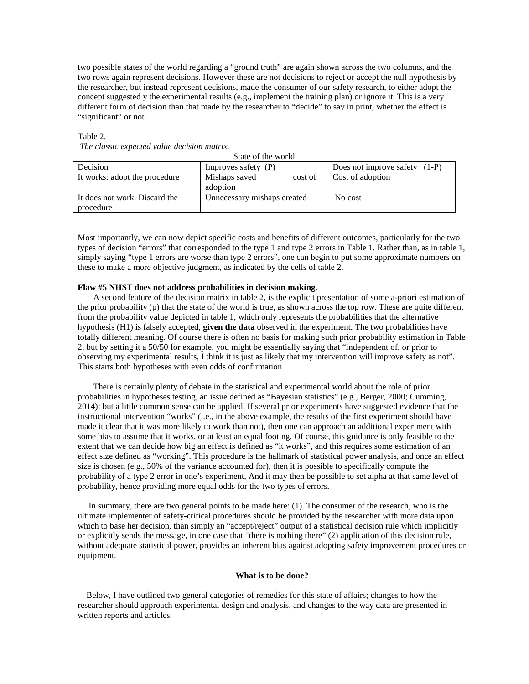two possible states of the world regarding a "ground truth" are again shown across the two columns, and the two rows again represent decisions. However these are not decisions to reject or accept the null hypothesis by the researcher, but instead represent decisions, made the consumer of our safety research, to either adopt the concept suggested y the experimental results (e.g., implement the training plan) or ignore it. This is a very different form of decision than that made by the researcher to "decide" to say in print, whether the effect is "significant" or not.

#### Table 2.

*The classic expected value decision matrix.* 

| State of the world                         |                                      |                                    |
|--------------------------------------------|--------------------------------------|------------------------------------|
| Decision                                   | Improves safety $(P)$                | Does not improve safety<br>$(1-P)$ |
| It works: adopt the procedure              | Mishaps saved<br>cost of<br>adoption | Cost of adoption                   |
| It does not work. Discard the<br>procedure | Unnecessary mishaps created          | No cost                            |

State of the world

Most importantly, we can now depict specific costs and benefits of different outcomes, particularly for the two types of decision "errors" that corresponded to the type 1 and type 2 errors in Table 1. Rather than, as in table 1, simply saying "type 1 errors are worse than type 2 errors", one can begin to put some approximate numbers on these to make a more objective judgment, as indicated by the cells of table 2.

#### **Flaw #5 NHST does not address probabilities in decision making**.

A second feature of the decision matrix in table 2, is the explicit presentation of some a-priori estimation of the prior probability (p) that the state of the world is true, as shown across the top row. These are quite different from the probability value depicted in table 1, which only represents the probabilities that the alternative hypothesis (H1) is falsely accepted, **given the data** observed in the experiment. The two probabilities have totally different meaning. Of course there is often no basis for making such prior probability estimation in Table 2, but by setting it a 50/50 for example, you might be essentially saying that "independent of, or prior to observing my experimental results, I think it is just as likely that my intervention will improve safety as not". This starts both hypotheses with even odds of confirmation

There is certainly plenty of debate in the statistical and experimental world about the role of prior probabilities in hypotheses testing, an issue defined as "Bayesian statistics" (e.g., Berger, 2000; Cumming, 2014); but a little common sense can be applied. If several prior experiments have suggested evidence that the instructional intervention "works" (i.e., in the above example, the results of the first experiment should have made it clear that it was more likely to work than not), then one can approach an additional experiment with some bias to assume that it works, or at least an equal footing. Of course, this guidance is only feasible to the extent that we can decide how big an effect is defined as "it works", and this requires some estimation of an effect size defined as "working". This procedure is the hallmark of statistical power analysis, and once an effect size is chosen (e.g., 50% of the variance accounted for), then it is possible to specifically compute the probability of a type 2 error in one's experiment, And it may then be possible to set alpha at that same level of probability, hence providing more equal odds for the two types of errors.

 In summary, there are two general points to be made here: (1). The consumer of the research, who is the ultimate implementer of safety-critical procedures should be provided by the researcher with more data upon which to base her decision, than simply an "accept/reject" output of a statistical decision rule which implicitly or explicitly sends the message, in one case that "there is nothing there" (2) application of this decision rule, without adequate statistical power, provides an inherent bias against adopting safety improvement procedures or equipment.

#### **What is to be done?**

 Below, I have outlined two general categories of remedies for this state of affairs; changes to how the researcher should approach experimental design and analysis, and changes to the way data are presented in written reports and articles.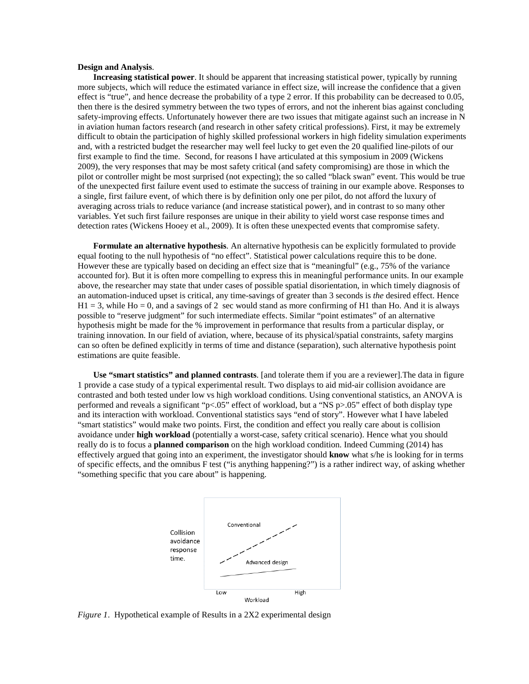#### **Design and Analysis**.

**Increasing statistical power**. It should be apparent that increasing statistical power, typically by running more subjects, which will reduce the estimated variance in effect size, will increase the confidence that a given effect is "true", and hence decrease the probability of a type 2 error. If this probability can be decreased to 0.05, then there is the desired symmetry between the two types of errors, and not the inherent bias against concluding safety-improving effects. Unfortunately however there are two issues that mitigate against such an increase in N in aviation human factors research (and research in other safety critical professions). First, it may be extremely difficult to obtain the participation of highly skilled professional workers in high fidelity simulation experiments and, with a restricted budget the researcher may well feel lucky to get even the 20 qualified line-pilots of our first example to find the time. Second, for reasons I have articulated at this symposium in 2009 (Wickens 2009), the very responses that may be most safety critical (and safety compromising) are those in which the pilot or controller might be most surprised (not expecting); the so called "black swan" event. This would be true of the unexpected first failure event used to estimate the success of training in our example above. Responses to a single, first failure event, of which there is by definition only one per pilot, do not afford the luxury of averaging across trials to reduce variance (and increase statistical power), and in contrast to so many other variables. Yet such first failure responses are unique in their ability to yield worst case response times and detection rates (Wickens Hooey et al., 2009). It is often these unexpected events that compromise safety.

**Formulate an alternative hypothesis**. An alternative hypothesis can be explicitly formulated to provide equal footing to the null hypothesis of "no effect". Statistical power calculations require this to be done. However these are typically based on deciding an effect size that is "meaningful" (e.g., 75% of the variance accounted for). But it is often more compelling to express this in meaningful performance units. In our example above, the researcher may state that under cases of possible spatial disorientation, in which timely diagnosis of an automation-induced upset is critical, any time-savings of greater than 3 seconds is *the* desired effect. Hence  $H1 = 3$ , while Ho = 0, and a savings of 2 sec would stand as more confirming of H1 than Ho. And it is always possible to "reserve judgment" for such intermediate effects. Similar "point estimates" of an alternative hypothesis might be made for the % improvement in performance that results from a particular display, or training innovation. In our field of aviation, where, because of its physical/spatial constraints, safety margins can so often be defined explicitly in terms of time and distance (separation), such alternative hypothesis point estimations are quite feasible.

**Use "smart statistics" and planned contrasts**. [and tolerate them if you are a reviewer].The data in figure 1 provide a case study of a typical experimental result. Two displays to aid mid-air collision avoidance are contrasted and both tested under low vs high workload conditions. Using conventional statistics, an ANOVA is performed and reveals a significant "p<.05" effect of workload, but a "NS p>.05" effect of both display type and its interaction with workload. Conventional statistics says "end of story". However what I have labeled "smart statistics" would make two points. First, the condition and effect you really care about is collision avoidance under **high workload** (potentially a worst-case, safety critical scenario). Hence what you should really do is to focus a **planned comparison** on the high workload condition. Indeed Cumming (2014) has effectively argued that going into an experiment, the investigator should **know** what s/he is looking for in terms of specific effects, and the omnibus F test ("is anything happening?") is a rather indirect way, of asking whether "something specific that you care about" is happening.



*Figure 1*. Hypothetical example of Results in a 2X2 experimental design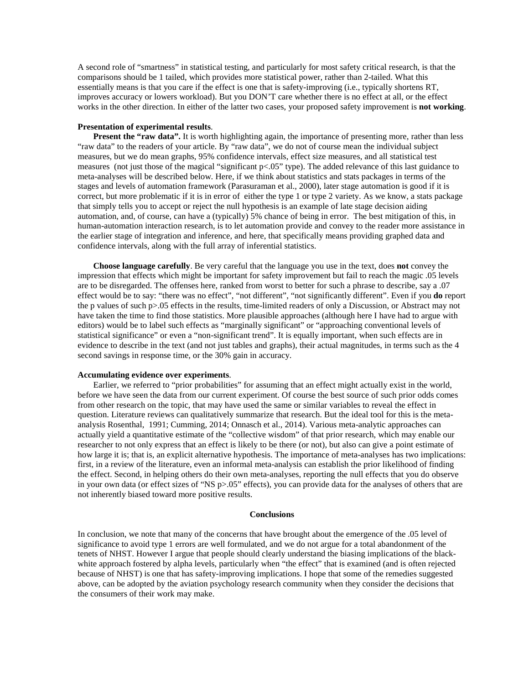A second role of "smartness" in statistical testing, and particularly for most safety critical research, is that the comparisons should be 1 tailed, which provides more statistical power, rather than 2-tailed. What this essentially means is that you care if the effect is one that is safety-improving (i.e., typically shortens RT, improves accuracy or lowers workload). But you DON'T care whether there is no effect at all, or the effect works in the other direction. In either of the latter two cases, your proposed safety improvement is **not working**.

#### **Presentation of experimental results**.

**Present the "raw data".** It is worth highlighting again, the importance of presenting more, rather than less "raw data" to the readers of your article. By "raw data", we do not of course mean the individual subject measures, but we do mean graphs, 95% confidence intervals, effect size measures, and all statistical test measures (not just those of the magical "significant p<.05" type). The added relevance of this last guidance to meta-analyses will be described below. Here, if we think about statistics and stats packages in terms of the stages and levels of automation framework (Parasuraman et al., 2000), later stage automation is good if it is correct, but more problematic if it is in error of either the type 1 or type 2 variety. As we know, a stats package that simply tells you to accept or reject the null hypothesis is an example of late stage decision aiding automation, and, of course, can have a (typically) 5% chance of being in error. The best mitigation of this, in human-automation interaction research, is to let automation provide and convey to the reader more assistance in the earlier stage of integration and inference, and here, that specifically means providing graphed data and confidence intervals, along with the full array of inferential statistics.

**Choose language carefully**. Be very careful that the language you use in the text, does **not** convey the impression that effects which might be important for safety improvement but fail to reach the magic .05 levels are to be disregarded. The offenses here, ranked from worst to better for such a phrase to describe, say a .07 effect would be to say: "there was no effect", "not different", "not significantly different". Even if you **do** report the p values of such p>.05 effects in the results, time-limited readers of only a Discussion, or Abstract may not have taken the time to find those statistics. More plausible approaches (although here I have had to argue with editors) would be to label such effects as "marginally significant" or "approaching conventional levels of statistical significance" or even a "non-significant trend". It is equally important, when such effects are in evidence to describe in the text (and not just tables and graphs), their actual magnitudes, in terms such as the 4 second savings in response time, or the 30% gain in accuracy.

#### **Accumulating evidence over experiments**.

Earlier, we referred to "prior probabilities" for assuming that an effect might actually exist in the world, before we have seen the data from our current experiment. Of course the best source of such prior odds comes from other research on the topic, that may have used the same or similar variables to reveal the effect in question. Literature reviews can qualitatively summarize that research. But the ideal tool for this is the metaanalysis Rosenthal, 1991; Cumming, 2014; Onnasch et al., 2014). Various meta-analytic approaches can actually yield a quantitative estimate of the "collective wisdom" of that prior research, which may enable our researcher to not only express that an effect is likely to be there (or not), but also can give a point estimate of how large it is; that is, an explicit alternative hypothesis. The importance of meta-analyses has two implications: first, in a review of the literature, even an informal meta-analysis can establish the prior likelihood of finding the effect. Second, in helping others do their own meta-analyses, reporting the null effects that you do observe in your own data (or effect sizes of "NS p>.05" effects), you can provide data for the analyses of others that are not inherently biased toward more positive results.

#### **Conclusions**

In conclusion, we note that many of the concerns that have brought about the emergence of the .05 level of significance to avoid type 1 errors are well formulated, and we do not argue for a total abandonment of the tenets of NHST. However I argue that people should clearly understand the biasing implications of the blackwhite approach fostered by alpha levels, particularly when "the effect" that is examined (and is often rejected because of NHST) is one that has safety-improving implications. I hope that some of the remedies suggested above, can be adopted by the aviation psychology research community when they consider the decisions that the consumers of their work may make.